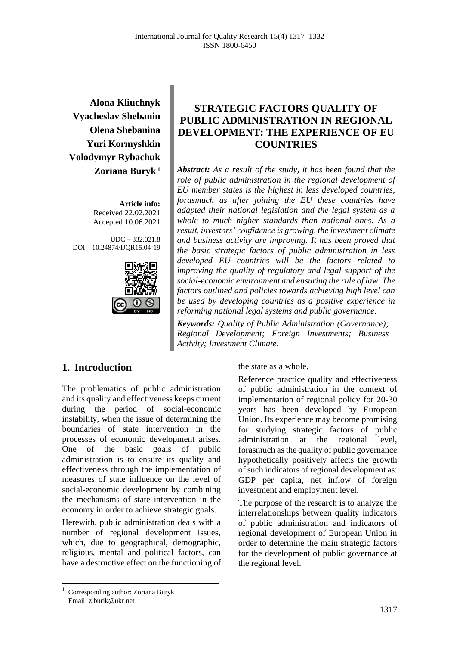**Alona Kliuchnyk Vyacheslav Shebanin Olena Shebanina Yuri Kormyshkin Volodymyr Rybachuk Zoriana Buryk <sup>1</sup>**

> **Article info:** Received 22.02.2021 Accepted 10.06.2021

UDC – 332.021.8 DOI – 10.24874/IJQR15.04-19



# **STRATEGIC FACTORS QUALITY OF PUBLIC ADMINISTRATION IN REGIONAL DEVELOPMENT: THE EXPERIENCE OF EU COUNTRIES**

*Abstract: As a result of the study, it has been found that the role of public administration in the regional development of EU member states is the highest in less developed countries, forasmuch as after joining the EU these countries have adapted their national legislation and the legal system as a whole to much higher standards than national ones. As a result, investors' confidence is growing, the investment climate and business activity are improving. It has been proved that the basic strategic factors of public administration in less developed EU countries will be the factors related to improving the quality of regulatory and legal support of the social-economic environment and ensuring the rule of law. The factors outlined and policies towards achieving high level can be used by developing countries as a positive experience in reforming national legal systems and public governance.*

*Keywords: Quality of Public Administration (Governance); Regional Development; Foreign Investments; Business Activity; Investment Climate.*

#### **1. Introduction**

The problematics of public administration and its quality and effectiveness keeps current during the period of social-economic instability, when the issue of determining the boundaries of state intervention in the processes of economic development arises. One of the basic goals of public administration is to ensure its quality and effectiveness through the implementation of measures of state influence on the level of social-economic development by combining the mechanisms of state intervention in the economy in order to achieve strategic goals.

Herewith, public administration deals with a number of regional development issues, which, due to geographical, demographic, religious, mental and political factors, can have a destructive effect on the functioning of the state as a whole.

Reference practice quality and effectiveness of public administration in the context of implementation of regional policy for 20-30 years has been developed by European Union. Its experience may become promising for studying strategic factors of public administration at the regional level, forasmuch as the quality of public governance hypothetically positively affects the growth of such indicators of regional development as: GDP per capita, net inflow of foreign investment and employment level.

The purpose of the research is to analyze the interrelationships between quality indicators of public administration and indicators of regional development of European Union in order to determine the main strategic factors for the development of public governance at the regional level.

<sup>1</sup> Corresponding author: Zoriana Buryk Email: z.burik@ukr.net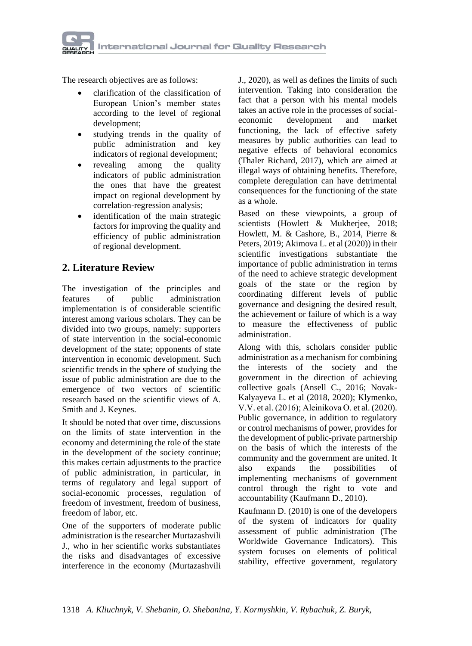

The research objectives are as follows:

- clarification of the classification of European Union's member states according to the level of regional development;
- studying trends in the quality of public administration and key indicators of regional development;
- revealing among the quality indicators of public administration the ones that have the greatest impact on regional development by correlation-regression analysis;
- identification of the main strategic factors for improving the quality and efficiency of public administration of regional development.

## **2. Literature Review**

The investigation of the principles and features of public administration implementation is of considerable scientific interest among various scholars. They can be divided into two groups, namely: supporters of state intervention in the social-economic development of the state; opponents of state intervention in economic development. Such scientific trends in the sphere of studying the issue of public administration are due to the emergence of two vectors of scientific research based on the scientific views of A. Smith and J. Keynes.

It should be noted that over time, discussions on the limits of state intervention in the economy and determining the role of the state in the development of the society continue; this makes certain adjustments to the practice of public administration, in particular, in terms of regulatory and legal support of social-economic processes, regulation of freedom of investment, freedom of business, freedom of labor, etc.

One of the supporters of moderate public administration is the researcher Murtazashvili J., who in her scientific works substantiates the risks and disadvantages of excessive interference in the economy (Murtazashvili

J., 2020), as well as defines the limits of such intervention. Taking into consideration the fact that a person with his mental models takes an active role in the processes of socialeconomic development and market functioning, the lack of effective safety measures by public authorities can lead to negative effects of behavioral economics (Thaler Richard, 2017), which are aimed at illegal ways of obtaining benefits. Therefore, complete deregulation can have detrimental consequences for the functioning of the state as a whole.

Based on these viewpoints, a group of scientists (Howlett & Mukherjee, 2018; Howlett, M. & Cashore, B., 2014, Pierre & Peters, 2019; Akimova L. et al (2020)) in their scientific investigations substantiate the importance of public administration in terms of the need to achieve strategic development goals of the state or the region by coordinating different levels of public governance and designing the desired result, the achievement or failure of which is a way to measure the effectiveness of public administration.

Along with this, scholars consider public administration as a mechanism for combining the interests of the society and the government in the direction of achieving collective goals (Ansell C., 2016; Novak-Kalyayeva L. et al (2018, 2020); Klymenko, V.V. et al. (2016); Aleinikova О. et al. (2020). Public governance, in addition to regulatory or control mechanisms of power, provides for the development of public-private partnership on the basis of which the interests of the community and the government are united. It also expands the possibilities of implementing mechanisms of government control through the right to vote and accountability (Kaufmann D., 2010).

Kaufmann D. (2010) is one of the developers of the system of indicators for quality assessment of public administration (The Worldwide Governance Indicators). This system focuses on elements of political stability, effective government, regulatory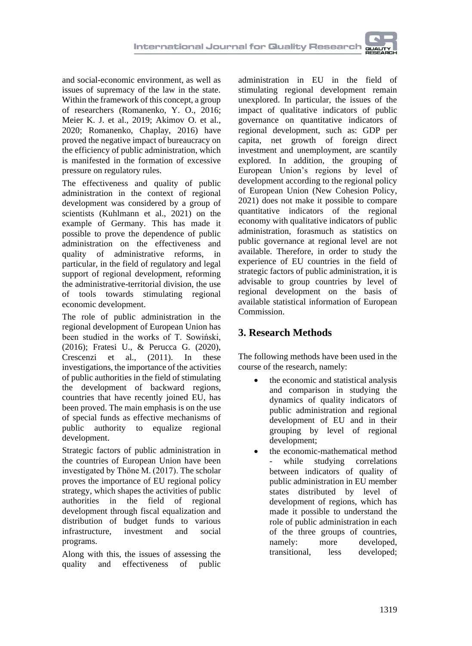and social-economic environment, as well as issues of supremacy of the law in the state. Within the framework of this concept, a group of researchers (Romanenko, Y. O., 2016; Meier K. J. et al., 2019; Akimov O. et al., 2020; Romanenko, Chaplay, 2016) have proved the negative impact of bureaucracy on the efficiency of public administration, which is manifested in the formation of excessive pressure on regulatory rules.

The effectiveness and quality of public administration in the context of regional development was considered by a group of scientists (Kuhlmann et al., 2021) on the example of Germany. This has made it possible to prove the dependence of public administration on the effectiveness and quality of administrative reforms, in particular, in the field of regulatory and legal support of regional development, reforming the administrative-territorial division, the use of tools towards stimulating regional economic development.

The role of public administration in the regional development of European Union has been studied in the works of T. Sowiński, (2016); Fratesi U., & Perucca G. (2020), Crescenzi et al., (2011). In these investigations, the importance of the activities of public authorities in the field of stimulating the development of backward regions, countries that have recently joined EU, has been proved. The main emphasis is on the use of special funds as effective mechanisms of public authority to equalize regional development.

Strategic factors of public administration in the countries of European Union have been investigated by Thöne M. (2017). The scholar proves the importance of EU regional policy strategy, which shapes the activities of public<br>authorities in the field of regional authorities in the field of development through fiscal equalization and distribution of budget funds to various<br>infrastructure, investment and social infrastructure, investment and social programs.

Along with this, the issues of assessing the quality and effectiveness of public

administration in EU in the field of stimulating regional development remain unexplored. In particular, the issues of the impact of qualitative indicators of public governance on quantitative indicators of regional development, such as: GDP per capita, net growth of foreign direct investment and unemployment, are scantily explored. In addition, the grouping of European Union's regions by level of development according to the regional policy of European Union (New Cohesion Policy, 2021) does not make it possible to compare quantitative indicators of the regional economy with qualitative indicators of public administration, forasmuch as statistics on public governance at regional level are not available. Therefore, in order to study the experience of EU countries in the field of strategic factors of public administration, it is advisable to group countries by level of regional development on the basis of available statistical information of European Commission.

# **3. Research Methods**

The following methods have been used in the course of the research, namely:

- the economic and statistical analysis and comparison in studying the dynamics of quality indicators of public administration and regional development of EU and in their grouping by level of regional development;
- the economic-mathematical method while studying correlations between indicators of quality of public administration in EU member states distributed by level of development of regions, which has made it possible to understand the role of public administration in each of the three groups of countries, namely: more developed, transitional, less developed;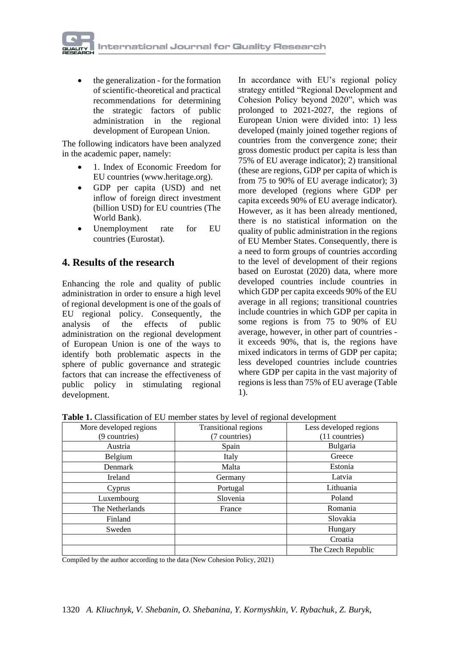• the generalization - for the formation of scientific-theoretical and practical recommendations for determining the strategic factors of public administration in the regional development of European Union.

The following indicators have been analyzed in the academic paper, namely:

- 1. Index of Economic Freedom for EU countries (www.heritage.org).
- GDP per capita (USD) and net inflow of foreign direct investment (billion USD) for EU countries (The World Bank).
- Unemployment rate for EU countries (Eurostat).

### **4. Results of the research**

Enhancing the role and quality of public administration in order to ensure a high level of regional development is one of the goals of EU regional policy. Consequently, the analysis of the effects of public administration on the regional development of European Union is one of the ways to identify both problematic aspects in the sphere of public governance and strategic factors that can increase the effectiveness of public policy in stimulating regional development.

In accordance with EU's regional policy strategy entitled "Regional Development and Cohesion Policy beyond 2020", which was prolonged to 2021-2027, the regions of European Union were divided into: 1) less developed (mainly joined together regions of countries from the convergence zone; their gross domestic product per capita is less than 75% of EU average indicator); 2) transitional (these are regions, GDP per capita of which is from 75 to 90% of EU average indicator); 3) more developed (regions where GDP per capita exceeds 90% of EU average indicator). However, as it has been already mentioned, there is no statistical information on the quality of public administration in the regions of EU Member States. Consequently, there is a need to form groups of countries according to the level of development of their regions based on Eurostat (2020) data, where more developed countries include countries in which GDP per capita exceeds 90% of the EU average in all regions; transitional countries include countries in which GDP per capita in some regions is from 75 to 90% of EU average, however, in other part of countries it exceeds 90%, that is, the regions have mixed indicators in terms of GDP per capita; less developed countries include countries where GDP per capita in the vast majority of regions is less than 75% of EU average (Table 1).

**Table 1.** Classification of EU member states by level of regional development

| More developed regions<br>(9 countries) | Transitional regions<br>(7 countries) | Less developed regions<br>(11 countries) |
|-----------------------------------------|---------------------------------------|------------------------------------------|
| Austria                                 | Spain                                 | Bulgaria                                 |
| Belgium                                 | Italy                                 | Greece                                   |
| Denmark                                 | Malta                                 | Estonia                                  |
| Ireland                                 | Germany                               | Latvia                                   |
| Cyprus                                  | Portugal                              | Lithuania                                |
| Luxembourg                              | Slovenia                              | Poland                                   |
| The Netherlands                         | France                                | Romania                                  |
| Finland                                 |                                       | Slovakia                                 |
| Sweden                                  |                                       | Hungary                                  |
|                                         |                                       | Croatia                                  |
|                                         |                                       | The Czech Republic                       |

Compiled by the author according to the data (New Cohesion Policy, 2021)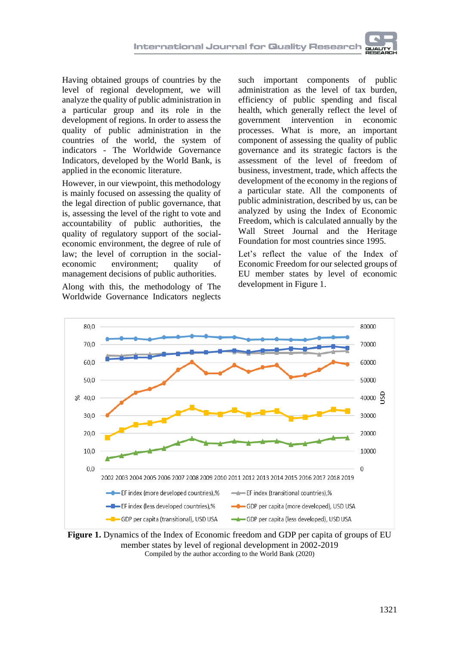Having obtained groups of countries by the level of regional development, we will analyze the quality of public administration in a particular group and its role in the development of regions. In order to assess the quality of public administration in the countries of the world, the system of indicators - The Worldwide Governance Indicators, developed by the World Bank, is applied in the economic literature.

However, in our viewpoint, this methodology is mainly focused on assessing the quality of the legal direction of public governance, that is, assessing the level of the right to vote and accountability of public authorities, the quality of regulatory support of the socialeconomic environment, the degree of rule of law; the level of corruption in the socialeconomic environment; quality of management decisions of public authorities.

Along with this, the methodology of The Worldwide Governance Indicators neglects

such important components of public administration as the level of tax burden, efficiency of public spending and fiscal health, which generally reflect the level of government intervention in economic processes. What is more, an important component of assessing the quality of public governance and its strategic factors is the assessment of the level of freedom of business, investment, trade, which affects the development of the economy in the regions of a particular state. All the components of public administration, described by us, can be analyzed by using the Index of Economic Freedom, which is calculated annually by the Wall Street Journal and the Heritage Foundation for most countries since 1995.

Let's reflect the value of the Index of Economic Freedom for our selected groups of EU member states by level of economic development in Figure 1.



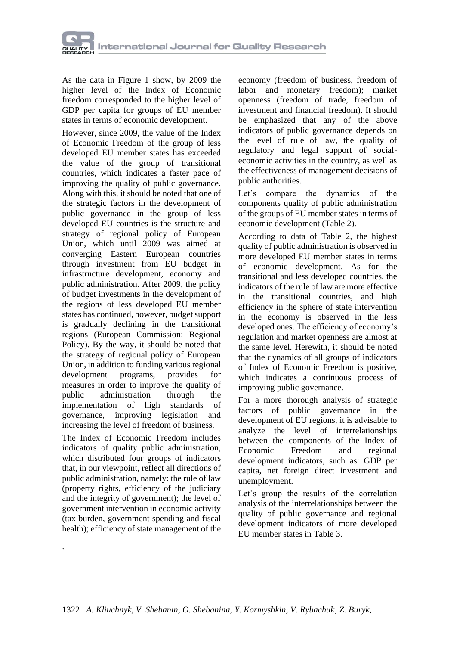

As the data in Figure 1 show, by 2009 the higher level of the Index of Economic freedom corresponded to the higher level of GDP per capita for groups of EU member states in terms of economic development.

However, since 2009, the value of the Index of Economic Freedom of the group of less developed EU member states has exceeded the value of the group of transitional countries, which indicates a faster pace of improving the quality of public governance. Along with this, it should be noted that one of the strategic factors in the development of public governance in the group of less developed EU countries is the structure and strategy of regional policy of European Union, which until 2009 was aimed at converging Eastern European countries through investment from EU budget in infrastructure development, economy and public administration. After 2009, the policy of budget investments in the development of the regions of less developed EU member states has continued, however, budget support is gradually declining in the transitional regions (European Commission: Regional Policy). By the way, it should be noted that the strategy of regional policy of European Union, in addition to funding various regional development programs, provides for measures in order to improve the quality of public administration through the implementation of high standards of governance, improving legislation and increasing the level of freedom of business.

The Index of Economic Freedom includes indicators of quality public administration, which distributed four groups of indicators that, in our viewpoint, reflect all directions of public administration, namely: the rule of law (property rights, efficiency of the judiciary and the integrity of government); the level of government intervention in economic activity (tax burden, government spending and fiscal health); efficiency of state management of the

.

economy (freedom of business, freedom of labor and monetary freedom); market openness (freedom of trade, freedom of investment and financial freedom). It should be emphasized that any of the above indicators of public governance depends on the level of rule of law, the quality of regulatory and legal support of socialeconomic activities in the country, as well as the effectiveness of management decisions of public authorities.

Let's compare the dynamics of the components quality of public administration of the groups of EU member states in terms of economic development (Table 2).

According to data of Table 2, the highest quality of public administration is observed in more developed EU member states in terms of economic development. As for the transitional and less developed countries, the indicators of the rule of law are more effective in the transitional countries, and high efficiency in the sphere of state intervention in the economy is observed in the less developed ones. The efficiency of economy's regulation and market openness are almost at the same level. Herewith, it should be noted that the dynamics of all groups of indicators of Index of Economic Freedom is positive, which indicates a continuous process of improving public governance.

For a more thorough analysis of strategic factors of public governance in the development of EU regions, it is advisable to analyze the level of interrelationships between the components of the Index of Economic Freedom and regional development indicators, such as: GDP per capita, net foreign direct investment and unemployment.

Let's group the results of the correlation analysis of the interrelationships between the quality of public governance and regional development indicators of more developed EU member states in Table 3.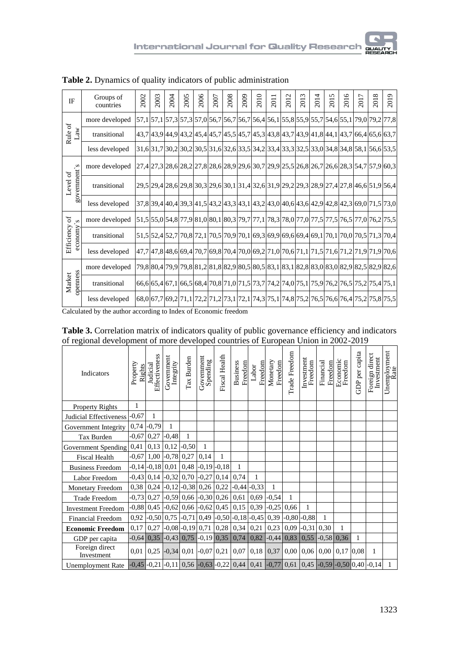| IF                    | Groups of<br>countries                          | 2002 | 2003 | 2004 | 2005 | 2006                                                                                                                                                                                                                                                                                                        | 2007 | 2008 | 2009 | 2010 | 201 | $\mathbf{C}$<br>201 | 3<br>201 | 4<br>201 | 5<br>201 | ৩<br>201 | 2017 | ${}^{\infty}$<br>2013 | 2019                                                                                      |
|-----------------------|-------------------------------------------------|------|------|------|------|-------------------------------------------------------------------------------------------------------------------------------------------------------------------------------------------------------------------------------------------------------------------------------------------------------------|------|------|------|------|-----|---------------------|----------|----------|----------|----------|------|-----------------------|-------------------------------------------------------------------------------------------|
|                       | more developed                                  |      |      |      |      |                                                                                                                                                                                                                                                                                                             |      |      |      |      |     |                     |          |          |          |          |      |                       | 57,1 57,1 57,3 57,3 57,0 56,7 56,7 56,7 56,4 56,1 55,8 55,9 55,7 54,6 55,1 79,0 79,2 77,8 |
| Rule of<br>_aw        | transitional                                    |      |      |      |      | 43,7 43,9 44,9 43,2 45,4 45,7 45,5 45,7 45,5 43,7 43,8 43,7 43,9 41,8 44,1 43,7 66,4 65,6 63,7                                                                                                                                                                                                              |      |      |      |      |     |                     |          |          |          |          |      |                       |                                                                                           |
|                       | less developed                                  |      |      |      |      |                                                                                                                                                                                                                                                                                                             |      |      |      |      |     |                     |          |          |          |          |      |                       | 31,6 31,7 30,2 30,2 30,5 31,6 32,6 33,5 34,2 33,4 33,3 32,5 33,0 34,8 34,8 58,1 56,6 53,5 |
| 'Ծ                    | more developed                                  |      |      |      |      |                                                                                                                                                                                                                                                                                                             |      |      |      |      |     |                     |          |          |          |          |      |                       | 27,4 27,3 28,6 28,2 27,8 28,6 28,9 29,6 30,7 29,9 25,5 26,8 26,7 26,6 28,3 54,7 57,9 60,3 |
| government's<br>evel  | transitional                                    |      |      |      |      |                                                                                                                                                                                                                                                                                                             |      |      |      |      |     |                     |          |          |          |          |      |                       | 29,5 29,4 28,6 29,8 30,3 29,6 30,1 31,4 32,6 31,9 29,2 29,3 28,9 27,4 27,8 46,6 51,9 56,4 |
|                       | less developed                                  |      |      |      |      |                                                                                                                                                                                                                                                                                                             |      |      |      |      |     |                     |          |          |          |          |      |                       | 37,8 39,4 40,4 39,3 41,5 43,2 43,3 43,1 43,2 43,0 40,6 43,6 42,9 42,8 42,3 69,0 71,5 73,0 |
| ð<br>$\sim$           | more developed                                  |      |      |      |      |                                                                                                                                                                                                                                                                                                             |      |      |      |      |     |                     |          |          |          |          |      |                       | 51,555,054,877,981,080,180,379,777,178,378,077,077,577,576,577,076,275,5                  |
| xuouose<br>Efficiency | transitional                                    |      |      |      |      |                                                                                                                                                                                                                                                                                                             |      |      |      |      |     |                     |          |          |          |          |      |                       | 51,5 52,4 52,7 70,8 72,1 70,5 70,9 70,1 69,3 69,9 69,6 69,4 69,1 70,1 70,0 70,5 71,3 70,4 |
|                       | less developed                                  |      |      |      |      |                                                                                                                                                                                                                                                                                                             |      |      |      |      |     |                     |          |          |          |          |      |                       | 47,7 47,8 48,6 69,4 70,7 69,8 70,4 70,0 69,2 71,0 70,6 71,1 71,5 71,6 71,2 71,9 71,9 70,6 |
|                       | more developed                                  |      |      |      |      |                                                                                                                                                                                                                                                                                                             |      |      |      |      |     |                     |          |          |          |          |      |                       | 79,8 80,4 79,9 79,8 81,2 81,8 82,9 80,5 80,5 83,1 83,1 82,8 83,0 83,0 82,9 82,5 82,9 82,6 |
| openness<br>Market    | transitional                                    |      |      |      |      | 66,6 65,4 67,1 66,5 68,4 70,8 71,0 71,5 73,7 74,2 74,0 75,1 75,9 76,2 76,5 75,2 75,4 75,1                                                                                                                                                                                                                   |      |      |      |      |     |                     |          |          |          |          |      |                       |                                                                                           |
|                       | less developed<br>$C_1$ 1 $1$ 1 $1$ 1 $1$ 1 $1$ |      |      |      |      | $\mathbf{r}$ , $\mathbf{r}$ , $\mathbf{r}$ , $\mathbf{r}$ , $\mathbf{r}$ , $\mathbf{r}$ , $\mathbf{r}$ , $\mathbf{r}$ , $\mathbf{r}$ , $\mathbf{r}$ , $\mathbf{r}$ , $\mathbf{r}$ , $\mathbf{r}$ , $\mathbf{r}$ , $\mathbf{r}$ , $\mathbf{r}$ , $\mathbf{r}$ , $\mathbf{r}$ , $\mathbf{r}$ , $\mathbf{r}$ , |      |      |      |      |     |                     |          |          |          |          |      |                       | 68,0 67,7 69,2 71,1 72,2 71,2 73,1 72,1 74,3 75,1 74,8 75,2 76,5 76,6 76,4 75,2 75,8 75,5 |

**Table 2.** Dynamics of quality indicators of public administration

Calculated by the author according to Index of Economic freedom

| Table 3. Correlation matrix of indicators quality of public governance efficiency and indicators |  |  |  |  |  |  |  |  |
|--------------------------------------------------------------------------------------------------|--|--|--|--|--|--|--|--|
| of regional development of more developed countries of European Union in 2002-2019               |  |  |  |  |  |  |  |  |

| Indicators                   | Property<br>Rights | Effectiveness<br>Judicial | Government<br>Integrity | Tax Burden                             | Government<br>Spending | <b>Fiscal Health</b> | <b>Business</b><br>Freedom | Freedom<br>Labor         | Monetary<br>Freedom | Trade Freedom | Investment<br>Freedom | Financial<br>Freedom | Economic<br>Freedom | GDP per capita | Foreign direct<br>Investment                                                              | Unemployment<br>Rate |
|------------------------------|--------------------|---------------------------|-------------------------|----------------------------------------|------------------------|----------------------|----------------------------|--------------------------|---------------------|---------------|-----------------------|----------------------|---------------------|----------------|-------------------------------------------------------------------------------------------|----------------------|
| <b>Property Rights</b>       | 1                  |                           |                         |                                        |                        |                      |                            |                          |                     |               |                       |                      |                     |                |                                                                                           |                      |
| Judicial Effectiveness       | $-0,67$            | 1                         |                         |                                        |                        |                      |                            |                          |                     |               |                       |                      |                     |                |                                                                                           |                      |
| Government Integrity         |                    | $0,74$ -0,79              | $\mathbf{1}$            |                                        |                        |                      |                            |                          |                     |               |                       |                      |                     |                |                                                                                           |                      |
| Tax Burden                   | $-0.67$            | 0,27                      | $-0.48$                 | $\mathbf{1}$                           |                        |                      |                            |                          |                     |               |                       |                      |                     |                |                                                                                           |                      |
| Government Spending          | 0,41               | 0,13                      | 0,12                    | $-0,50$                                | $\mathbf{1}$           |                      |                            |                          |                     |               |                       |                      |                     |                |                                                                                           |                      |
| <b>Fiscal Health</b>         |                    | $-0.67$ 1,00 $-0.78$      |                         | 0,27                                   | 0,14                   | 1                    |                            |                          |                     |               |                       |                      |                     |                |                                                                                           |                      |
| <b>Business Freedom</b>      |                    | $-0,14$ $-0,18$ 0.01      |                         | 0,48                                   |                        | $-0,19$ $-0,18$      | 1                          |                          |                     |               |                       |                      |                     |                |                                                                                           |                      |
| Labor Freedom                |                    |                           |                         | $-0.43$ 0.14 $-0.32$ 0.70 $-0.27$ 0.14 |                        |                      | 0,74                       | 1                        |                     |               |                       |                      |                     |                |                                                                                           |                      |
| <b>Monetary Freedom</b>      |                    |                           |                         | $0,38$   $0,24$   $-0,12$   $-0,38$    |                        | $0,26$ 0,22          |                            | $-0,44$ $-0,33$          | 1                   |               |                       |                      |                     |                |                                                                                           |                      |
| <b>Trade Freedom</b>         |                    | $-0,73$ 0,27              |                         | $-0,59$ 0,66                           |                        | $-0,30$ 0,26         | 0,61                       | 0,69                     | $-0,54$             | 1             |                       |                      |                     |                |                                                                                           |                      |
| <b>Investment Freedom</b>    |                    | $-0.88$ 0.45 $-0.62$      |                         |                                        | $0,66$ -0.62 0.45      |                      | 0,15                       | 0,39                     | $-0,25$             | 0,66          | 1                     |                      |                     |                |                                                                                           |                      |
| <b>Financial Freedom</b>     | 0,92               |                           |                         | $-0,50$ 0,75 $-0,71$                   |                        |                      |                            | $0,49$ -0,50 -0,18 -0,45 | 0,39                |               | $-0,80$ $-0,88$       | 1                    |                     |                |                                                                                           |                      |
| <b>Economic Freedom</b>      | 0,17               | 0,27                      |                         | $-0.08$ $-0.19$ 0.71 0.28              |                        |                      |                            | $0,34 \mid 0,21$         | 0,23                |               | $0,09$ -0,31          | 0,30                 | 1                   |                |                                                                                           |                      |
| GDP per capita               | $-0.64$            |                           |                         | $0,35$ -0,43 0,75                      | $-0,19$                | 0,35                 | 0,74                       | 0,82                     | $-0,44$             | 0,83          | 0,55                  | $-0,58$ 0,36         |                     | $\mathbf{1}$   |                                                                                           |                      |
| Foreign direct<br>Investment | 0.01               |                           |                         | $0,25$ -0,34 0,01 -0,07 0,21           |                        |                      | 0,07                       |                          | $0,18$ 0,37         |               | $0,00$ 0.06           |                      | $0,00$ 0.17         | 0,08           | 1                                                                                         |                      |
| <b>Unemployment Rate</b>     |                    |                           |                         |                                        |                        |                      |                            |                          |                     |               |                       |                      |                     |                | -0,45 -0,21 -0,11  0,56 -0,63 -0,22  0,44  0,41 -0,77  0,61  0,45 -0,59 -0,50  0,40 -0,14 | 1                    |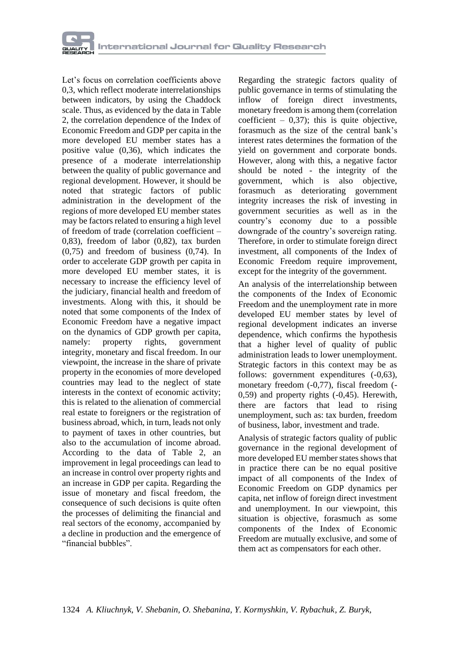Let's focus on correlation coefficients above 0,3, which reflect moderate interrelationships between indicators, by using the Chaddock scale. Thus, as evidenced by the data in Table 2, the correlation dependence of the Index of Economic Freedom and GDP per capita in the more developed EU member states has a positive value (0,36), which indicates the presence of a moderate interrelationship between the quality of public governance and regional development. However, it should be noted that strategic factors of public administration in the development of the regions of more developed EU member states may be factors related to ensuring a high level of freedom of trade (correlation coefficient – 0,83), freedom of labor (0,82), tax burden (0,75) and freedom of business (0,74). In order to accelerate GDP growth per capita in more developed EU member states, it is necessary to increase the efficiency level of the judiciary, financial health and freedom of investments. Along with this, it should be noted that some components of the Index of Economic Freedom have a negative impact on the dynamics of GDP growth per capita, namely: property rights, government integrity, monetary and fiscal freedom. In our viewpoint, the increase in the share of private property in the economies of more developed countries may lead to the neglect of state interests in the context of economic activity; this is related to the alienation of commercial real estate to foreigners or the registration of business abroad, which, in turn, leads not only to payment of taxes in other countries, but also to the accumulation of income abroad. According to the data of Table 2, an improvement in legal proceedings can lead to an increase in control over property rights and an increase in GDP per capita. Regarding the issue of monetary and fiscal freedom, the consequence of such decisions is quite often the processes of delimiting the financial and real sectors of the economy, accompanied by a decline in production and the emergence of "financial bubbles".

Regarding the strategic factors quality of public governance in terms of stimulating the inflow of foreign direct investments, monetary freedom is among them (correlation coefficient –  $0,37$ ; this is quite objective, forasmuch as the size of the central bank's interest rates determines the formation of the yield on government and corporate bonds. However, along with this, a negative factor should be noted - the integrity of the government, which is also objective, forasmuch as deteriorating government integrity increases the risk of investing in government securities as well as in the country's economy due to a possible downgrade of the country's sovereign rating. Therefore, in order to stimulate foreign direct investment, all components of the Index of Economic Freedom require improvement, except for the integrity of the government.

An analysis of the interrelationship between the components of the Index of Economic Freedom and the unemployment rate in more developed EU member states by level of regional development indicates an inverse dependence, which confirms the hypothesis that a higher level of quality of public administration leads to lower unemployment. Strategic factors in this context may be as follows: government expenditures  $(-0.63)$ , monetary freedom (-0,77), fiscal freedom (- 0,59) and property rights (-0,45). Herewith, there are factors that lead to rising unemployment, such as: tax burden, freedom of business, labor, investment and trade.

Analysis of strategic factors quality of public governance in the regional development of more developed EU member states shows that in practice there can be no equal positive impact of all components of the Index of Economic Freedom on GDP dynamics per capita, net inflow of foreign direct investment and unemployment. In our viewpoint, this situation is objective, forasmuch as some components of the Index of Economic Freedom are mutually exclusive, and some of them act as compensators for each other.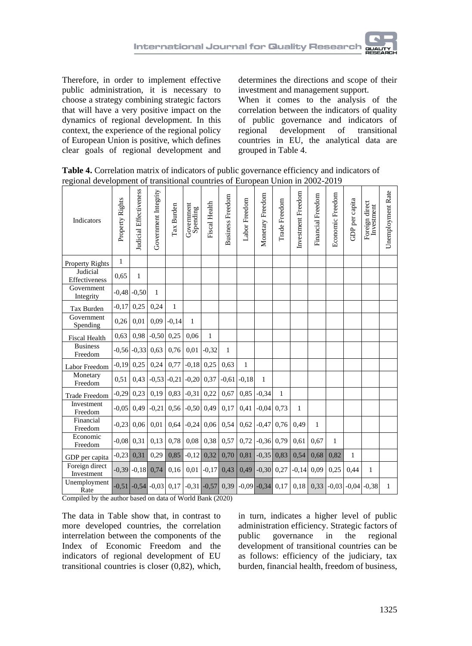Therefore, in order to implement effective public administration, it is necessary to choose a strategy combining strategic factors that will have a very positive impact on the dynamics of regional development. In this context, the experience of the regional policy of European Union is positive, which defines clear goals of regional development and determines the directions and scope of their investment and management support.

When it comes to the analysis of the correlation between the indicators of quality of public governance and indicators of regional development of transitional countries in EU, the analytical data are grouped in Table 4.

**Table 4.** Correlation matrix of indicators of public governance efficiency and indicators of regional development of transitional countries of European Union in 2002-2019

| Indicators                   | Property Rights | <b>Judicial Effectiveness</b> | Government Integrity | Tax Burden   | Government<br>Spending                    | Fiscal Health | <b>Business Freedom</b> | Labor Freedom | Monetary Freedom     | Trade Freedom | Investment Freedom | Financial Freedom | Economic Freedom | GDP per capita  | Foreign direct<br>Investment | Unemployment Rate |
|------------------------------|-----------------|-------------------------------|----------------------|--------------|-------------------------------------------|---------------|-------------------------|---------------|----------------------|---------------|--------------------|-------------------|------------------|-----------------|------------------------------|-------------------|
| <b>Property Rights</b>       | 1               |                               |                      |              |                                           |               |                         |               |                      |               |                    |                   |                  |                 |                              |                   |
| Judicial<br>Effectiveness    | 0.65            | $\mathbf{1}$                  |                      |              |                                           |               |                         |               |                      |               |                    |                   |                  |                 |                              |                   |
| Government<br>Integrity      | $-0.48$         | $-0.50$                       | 1                    |              |                                           |               |                         |               |                      |               |                    |                   |                  |                 |                              |                   |
| Tax Burden                   | $-0.17$         | 0,25                          | 0.24                 | $\mathbf{1}$ |                                           |               |                         |               |                      |               |                    |                   |                  |                 |                              |                   |
| Government<br>Spending       | 0.26            | 0,01                          | 0.09                 | $-0.14$      | 1                                         |               |                         |               |                      |               |                    |                   |                  |                 |                              |                   |
| <b>Fiscal Health</b>         | 0,63            | 0,98                          | $-0,50$              | 0,25         | 0,06                                      | 1             |                         |               |                      |               |                    |                   |                  |                 |                              |                   |
| <b>Business</b><br>Freedom   | $-0,56$         | $-0.33$                       | 0.63                 | 0,76         | 0,01                                      | $-0.32$       | 1                       |               |                      |               |                    |                   |                  |                 |                              |                   |
| Labor Freedom                | $-0.19$         | 0,25                          | 0,24                 | 0,77         | $-0,18$                                   | 0,25          | 0,63                    | 1             |                      |               |                    |                   |                  |                 |                              |                   |
| Monetary<br>Freedom          | 0.51            | 0,43                          |                      |              | $-0.53$ $-0.21$ $-0.20$                   | 0,37          | $-0,61$                 | $-0.18$       | 1                    |               |                    |                   |                  |                 |                              |                   |
| <b>Trade Freedom</b>         | $-0.29$         | 0,23                          | 0.19                 | 0.83         | $-0.31$                                   | 0,22          | 0.67                    | 0.85          | $-0.34$              | 1             |                    |                   |                  |                 |                              |                   |
| Investment<br>Freedom        | $-0.05$         | 0,49                          | $-0,21$              |              | $0.56$ -0.50                              | 0,49          | 0.17                    | 0,41          | $-0.04$              | 0.73          | 1                  |                   |                  |                 |                              |                   |
| Financial<br>Freedom         | $-0.23$         | 0,06                          | 0,01                 | 0.64         | $-0,24$                                   | 0,06          | 0,54                    | 0,62          | $-0,47$              | 0,76          | 0,49               | $\mathbf{1}$      |                  |                 |                              |                   |
| Economic<br>Freedom          | $-0.08$         | 0,31                          | 0,13                 | 0,78         | 0,08                                      | 0,38          | 0,57                    | 0,72          | $-0,36$              | 0,79          | 0,61               | 0.67              | 1                |                 |                              |                   |
| GDP per capita               | $-0.23$         | 0,31                          | 0.29                 | 0,85         | $-0,12$                                   | 0,32          | 0,70                    | 0,81          | $-0,35$              | 0,83          | 0,54               | 0.68              | 0,82             | 1               |                              |                   |
| Foreign direct<br>Investment | $-0.39$         | $-0.18$                       | 0,74                 | 0,16         | 0,01                                      | $-0,17$       | 0,43                    | 0,49          | $-0,30$              | 0,27          | $-0.14$            | 0.09              | 0,25             | 0,44            | 1                            |                   |
| Unemployment<br>Rate         | $-0.51$         |                               |                      |              | $-0.54$ $-0.03$ 0.17 $-0.31$ $-0.57$ 0.39 |               |                         |               | $-0.09$ $-0.34$ 0.17 |               | 0.18               | 0.33              |                  | $-0.03$ $-0.04$ | $-0.38$                      | 1                 |

Compiled by the author based on data of World Bank (2020)

The data in Table show that, in contrast to more developed countries, the correlation interrelation between the components of the Index of Economic Freedom and the indicators of regional development of EU transitional countries is closer (0,82), which,

in turn, indicates a higher level of public administration efficiency. Strategic factors of public governance in the regional development of transitional countries can be as follows: efficiency of the judiciary, tax burden, financial health, freedom of business,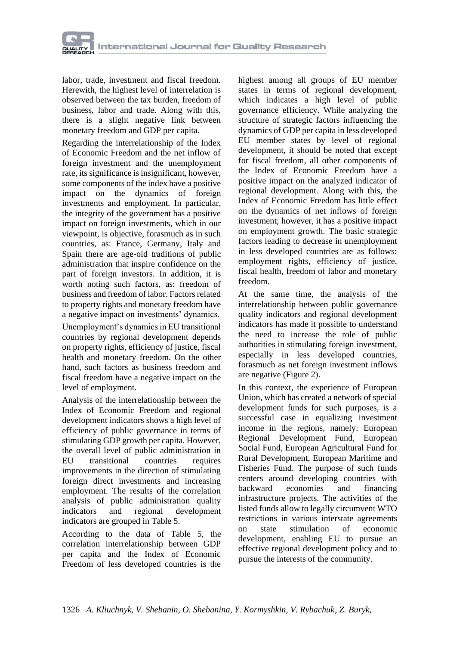

labor, trade, investment and fiscal freedom. Herewith, the highest level of interrelation is observed between the tax burden, freedom of business, labor and trade. Along with this, there is a slight negative link between monetary freedom and GDP per capita.

Regarding the interrelationship of the Index of Economic Freedom and the net inflow of foreign investment and the unemployment rate, its significance is insignificant, however, some components of the index have a positive impact on the dynamics of foreign investments and employment. In particular, the integrity of the government has a positive impact on foreign investments, which in our viewpoint, is objective, forasmuch as in such countries, as: France, Germany, Italy and Spain there are age-old traditions of public administration that inspire confidence on the part of foreign investors. In addition, it is worth noting such factors, as: freedom of business and freedom of labor. Factors related to property rights and monetary freedom have a negative impact on investments' dynamics.

Unemployment's dynamics in EU transitional countries by regional development depends on property rights, efficiency of justice, fiscal health and monetary freedom. On the other hand, such factors as business freedom and fiscal freedom have a negative impact on the level of employment.

Analysis of the interrelationship between the Index of Economic Freedom and regional development indicators shows a high level of efficiency of public governance in terms of stimulating GDP growth per capita. However, the overall level of public administration in EU transitional countries requires improvements in the direction of stimulating foreign direct investments and increasing employment. The results of the correlation analysis of public administration quality indicators and regional development indicators are grouped in Table 5.

According to the data of Table 5, the correlation interrelationship between GDP per capita and the Index of Economic Freedom of less developed countries is the

highest among all groups of EU member states in terms of regional development, which indicates a high level of public governance efficiency. While analyzing the structure of strategic factors influencing the dynamics of GDP per capita in less developed EU member states by level of regional development, it should be noted that except for fiscal freedom, all other components of the Index of Economic Freedom have a positive impact on the analyzed indicator of regional development. Along with this, the Index of Economic Freedom has little effect on the dynamics of net inflows of foreign investment; however, it has a positive impact on employment growth. The basic strategic factors leading to decrease in unemployment in less developed countries are as follows: employment rights, efficiency of justice, fiscal health, freedom of labor and monetary freedom.

At the same time, the analysis of the interrelationship between public governance quality indicators and regional development indicators has made it possible to understand the need to increase the role of public authorities in stimulating foreign investment, especially in less developed countries, forasmuch as net foreign investment inflows are negative (Figure 2).

In this context, the experience of European Union, which has created a network of special development funds for such purposes, is a successful case in equalizing investment income in the regions, namely: European Regional Development Fund, European Social Fund, European Agricultural Fund for Rural Development, European Maritime and Fisheries Fund. The purpose of such funds centers around developing countries with backward economies and financing infrastructure projects. The activities of the listed funds allow to legally circumvent WTO restrictions in various interstate agreements on state stimulation of economic development, enabling EU to pursue an effective regional development policy and to pursue the interests of the community.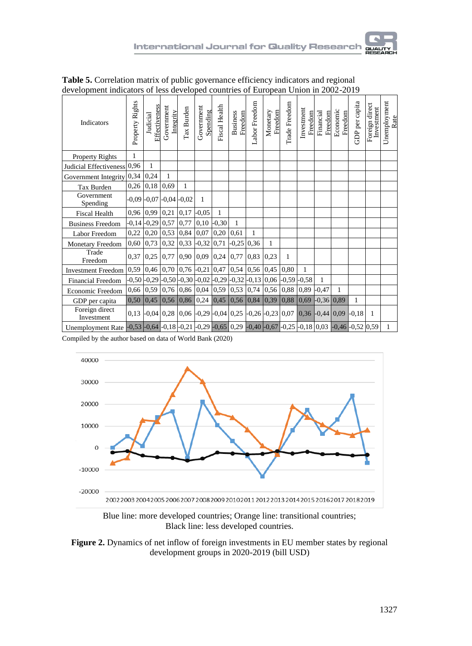| Indicators                                                                                                                                                                                                   | Property Rights | Effectiveness<br>Judicial                                                              | Government<br>Integrity                  | Tax Burden      | Government<br>Spending | Fiscal Health                      | <b>Business</b><br>Freedom | Labor Freedom    | Monetary<br>Freedom | Trade Freedom         | Investment<br>Freedom   | Financial<br>Freedom | Economic<br>Freedom | GDP per capita | Foreign direct<br>Investment | Unemployment<br>Rate |
|--------------------------------------------------------------------------------------------------------------------------------------------------------------------------------------------------------------|-----------------|----------------------------------------------------------------------------------------|------------------------------------------|-----------------|------------------------|------------------------------------|----------------------------|------------------|---------------------|-----------------------|-------------------------|----------------------|---------------------|----------------|------------------------------|----------------------|
| <b>Property Rights</b>                                                                                                                                                                                       | 1               |                                                                                        |                                          |                 |                        |                                    |                            |                  |                     |                       |                         |                      |                     |                |                              |                      |
| Judicial Effectiveness 0,96                                                                                                                                                                                  |                 | $\mathbf{1}$                                                                           |                                          |                 |                        |                                    |                            |                  |                     |                       |                         |                      |                     |                |                              |                      |
| Government Integrity                                                                                                                                                                                         | 0,34            | 0,24                                                                                   | $\mathbf{1}$                             |                 |                        |                                    |                            |                  |                     |                       |                         |                      |                     |                |                              |                      |
| Tax Burden                                                                                                                                                                                                   |                 | $0,26$ 0.18                                                                            | 0,69                                     | 1               |                        |                                    |                            |                  |                     |                       |                         |                      |                     |                |                              |                      |
| Government<br>Spending                                                                                                                                                                                       |                 | $-0.09$ $-0.07$                                                                        |                                          | $-0.04$ $-0.02$ | 1                      |                                    |                            |                  |                     |                       |                         |                      |                     |                |                              |                      |
| <b>Fiscal Health</b>                                                                                                                                                                                         |                 | $0,96$ 0,99                                                                            | $0,21$ 0,17                              |                 | $-0,05$                | 1                                  |                            |                  |                     |                       |                         |                      |                     |                |                              |                      |
| <b>Business Freedom</b>                                                                                                                                                                                      |                 | $-0,14$ $-0,29$                                                                        | $0,57$ 0,77                              |                 |                        | $0,10$ -0,30                       | 1                          |                  |                     |                       |                         |                      |                     |                |                              |                      |
| Labor Freedom                                                                                                                                                                                                | 0,22            | 0,20                                                                                   |                                          | $0,53$ 0.84     | 0,07                   | 0,20                               | 0,61                       | $\mathbf{1}$     |                     |                       |                         |                      |                     |                |                              |                      |
| Monetary Freedom                                                                                                                                                                                             | 0,60            | 0,73                                                                                   |                                          |                 |                        | $0,32$   $0,33$   $-0,32$   $0,71$ |                            | $-0,25$ 0,36     | 1                   |                       |                         |                      |                     |                |                              |                      |
| Trade<br>Freedom                                                                                                                                                                                             | 0,37            | 0,25                                                                                   |                                          |                 |                        | $0,77$ 0.90 0.09 0.24              |                            | $0,77$ 0,83      | 0,23                | $\mathbf{1}$          |                         |                      |                     |                |                              |                      |
| <b>Investment Freedom</b>                                                                                                                                                                                    |                 | $0,59$ 0.46                                                                            |                                          |                 |                        | $0,70$ 0,76 -0,21 0,47             |                            | $0,54$ 0.56 0.45 |                     | 0,80                  | 1                       |                      |                     |                |                              |                      |
| <b>Financial Freedom</b>                                                                                                                                                                                     |                 | $-0.50$ $-0.29$ $-0.50$ $-0.30$ $-0.02$ $-0.29$ $-0.32$ $-0.13$ $0.06$ $-0.59$ $-0.58$ |                                          |                 |                        |                                    |                            |                  |                     |                       |                         | $\mathbf{1}$         |                     |                |                              |                      |
| Economic Freedom                                                                                                                                                                                             | 0,66            | 0,59                                                                                   |                                          |                 |                        | $0,76$ 0.86 0.04 0.59              |                            | $0,53$ 0,74      | 0,56                | 0,88                  | $0,89$ -0,47            |                      | 1                   |                |                              |                      |
| GDP per capita                                                                                                                                                                                               | 0,50            |                                                                                        | $\vert 0.45 \vert 0.56 \vert 0.86 \vert$ |                 |                        | $0,24$ 0,45                        |                            |                  |                     | $0,56$ 0.84 0.39 0.88 | $ 0.69 $ -0.36 $ 0.89 $ |                      |                     | 1              |                              |                      |
| Foreign direct<br>Investment                                                                                                                                                                                 |                 | 0,13 -0,04 0,28 0,06 -0,29 -0,04 0,25 -0,26 -0,23 0,07 0,36 -0,44 0,09                 |                                          |                 |                        |                                    |                            |                  |                     |                       |                         |                      |                     | $-0.18$        | $\overline{1}$               |                      |
| Unemployment Rate $\left[-0.53\right] -0.64\left[-0.18\right] -0.21\left[-0.29\right] -0.65\left[0.29\right] -0.40\left[-0.67\right] -0.25\left[-0.18\right] -0.03\left[-0.46\right] -0.52\left[0.59\right]$ |                 |                                                                                        |                                          |                 |                        |                                    |                            |                  |                     |                       |                         |                      |                     |                |                              | $\mathbf{1}$         |

**Table 5.** Correlation matrix of public governance efficiency indicators and regional development indicators of less developed countries of European Union in 2002-2019

Compiled by the author based on data of World Bank (2020)



Blue line: more developed countries; Orange line: transitional countries; Black line: less developed countries.

**Figure 2.** Dynamics of net inflow of foreign investments in EU member states by regional development groups in 2020-2019 (bill USD)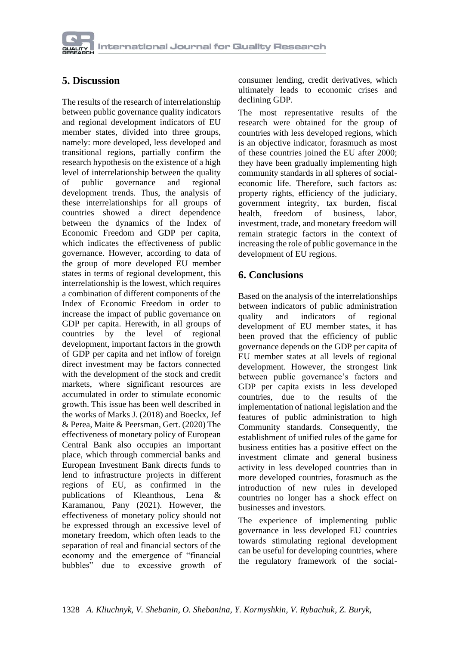### **5. Discussion**

The results of the research of interrelationship between public governance quality indicators and regional development indicators of EU member states, divided into three groups, namely: more developed, less developed and transitional regions, partially confirm the research hypothesis on the existence of a high level of interrelationship between the quality of public governance and regional development trends. Thus, the analysis of these interrelationships for all groups of countries showed a direct dependence between the dynamics of the Index of Economic Freedom and GDP per capita, which indicates the effectiveness of public governance. However, according to data of the group of more developed EU member states in terms of regional development, this interrelationship is the lowest, which requires a combination of different components of the Index of Economic Freedom in order to increase the impact of public governance on GDP per capita. Herewith, in all groups of countries by the level of regional development, important factors in the growth of GDP per capita and net inflow of foreign direct investment may be factors connected with the development of the stock and credit markets, where significant resources are accumulated in order to stimulate economic growth. This issue has been well described in the works of Marks J. (2018) and Boeckx, Jef & Perea, Maite & Peersman, Gert. (2020) The effectiveness of monetary policy of European Central Bank also occupies an important place, which through commercial banks and European Investment Bank directs funds to lend to infrastructure projects in different regions of EU, as confirmed in the publications of Kleanthous, Lena & Karamanou, Pany (2021). However, the effectiveness of monetary policy should not be expressed through an excessive level of monetary freedom, which often leads to the separation of real and financial sectors of the economy and the emergence of "financial bubbles" due to excessive growth of consumer lending, credit derivatives, which ultimately leads to economic crises and declining GDP.

The most representative results of the research were obtained for the group of countries with less developed regions, which is an objective indicator, forasmuch as most of these countries joined the EU after 2000; they have been gradually implementing high community standards in all spheres of socialeconomic life. Therefore, such factors as: property rights, efficiency of the judiciary, government integrity, tax burden, fiscal health, freedom of business, labor, investment, trade, and monetary freedom will remain strategic factors in the context of increasing the role of public governance in the development of EU regions.

#### **6. Conclusions**

Based on the analysis of the interrelationships between indicators of public administration quality and indicators of regional development of EU member states, it has been proved that the efficiency of public governance depends on the GDP per capita of EU member states at all levels of regional development. However, the strongest link between public governance's factors and GDP per capita exists in less developed countries, due to the results of the implementation of national legislation and the features of public administration to high Community standards. Consequently, the establishment of unified rules of the game for business entities has a positive effect on the investment climate and general business activity in less developed countries than in more developed countries, forasmuch as the introduction of new rules in developed countries no longer has a shock effect on businesses and investors.

The experience of implementing public governance in less developed EU countries towards stimulating regional development can be useful for developing countries, where the regulatory framework of the social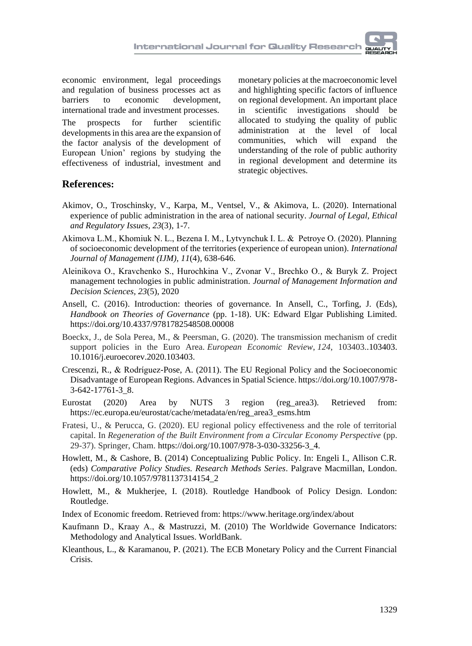economic environment, legal proceedings and regulation of business processes act as barriers to economic development, international trade and investment processes.

The prospects for further scientific developments in this area are the expansion of the factor analysis of the development of European Union' regions by studying the effectiveness of industrial, investment and

monetary policies at the macroeconomic level and highlighting specific factors of influence on regional development. An important place in scientific investigations should be allocated to studying the quality of public administration at the level of local communities, which will expand the understanding of the role of public authority in regional development and determine its strategic objectives.

### **References:**

- Akimov, O., Troschinsky, V., Karpa, M., Ventsel, V., & Akimova, L. (2020). International experience of public administration in the area of national security. *Journal of Legal, Ethical and Regulatory Issues*, *23*(3), 1-7.
- Akimova L.M., Khomiuk N. L., Bezena I. M., Lytvynchuk I. L. & Petroyе O. (2020). Planning of socioeconomic development of the territories (experience of european union). *International Journal of Management (IJM), 11*(4), 638-646.
- Aleinikova O., Kravchenko S., Нurochkina V., Zvonar V., Brechko O., & Buryk Z. Project management technologies in public administration. *Journal of Management Information and Decision Sciences, 23*(5), 2020
- Ansell, C. (2016). Introduction: theories of governance. In Ansell, C., Torfing, J. (Eds), *Handbook on Theories of Governance* (pp. 1-18). UK: Edward Elgar Publishing Limited. https://doi.org/10.4337/9781782548508.00008
- Boeckx, J., de Sola Perea, M., & Peersman, G. (2020). The transmission mechanism of credit support policies in the Euro Area. *European Economic Review*, *124*, 103403..103403. 10.1016/j.euroecorev.2020.103403.
- Crescenzi, R., & Rodríguez-Pose, A. (2011). The EU Regional Policy and the Socioeconomic Disadvantage of European Regions. Advances in Spatial Science. https://doi.org/10.1007/978- 3-642-17761-3\_8.
- Eurostat (2020) Area by NUTS 3 region (reg\_area3). Retrieved from: https://ec.europa.eu/eurostat/cache/metadata/en/reg\_area3\_esms.htm
- Fratesi, U., & Perucca, G. (2020). EU regional policy effectiveness and the role of territorial capital. In *Regeneration of the Built Environment from a Circular Economy Perspective* (pp. 29-37). Springer, Cham. https://doi.org/10.1007/978-3-030-33256-3\_4.
- Howlett, M., & Cashore, B. (2014) Conceptualizing Public Policy. In: Engeli I., Allison C.R. (eds) *Comparative Policy Studies. Research Methods Series*. Palgrave Macmillan, London. https://doi.org/10.1057/9781137314154\_2
- Howlett, M., & Mukherjee, I. (2018). Routledge Handbook of Policy Design. London: Routledge.
- Index of Economic freedom. Retrieved from: https://www.heritage.org/index/about
- Kaufmann D., Kraay А., & Mastruzzi, M. (2010) The Worldwide Governance Indicators: Methodology and Analytical Issues. WorldBank.
- Kleanthous, L., & Karamanou, P. (2021). The ECB Monetary Policy and the Current Financial Crisis.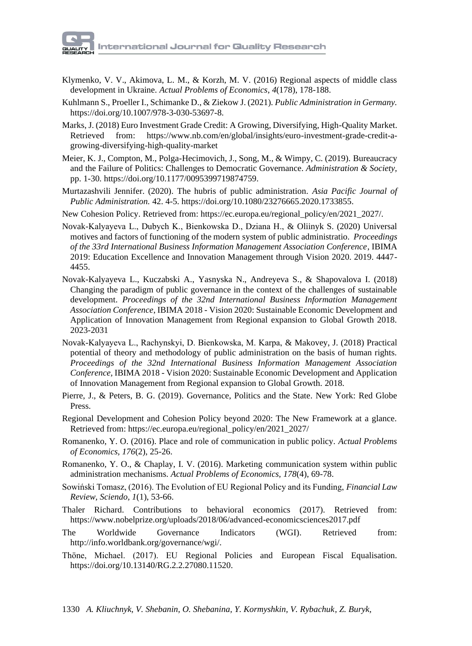

- Klymenko, V. V., Akimova, L. M., & Korzh, M. V. (2016) Regional aspects of middle class development in Ukraine. *Actual Problems of Economics*, *4*(178), 178-188.
- Kuhlmann S., Proeller I., Schimanke D., & Ziekow J. (2021). *Public Administration in Germany.* https://doi.org/10.1007/978-3-030-53697-8.
- Marks, J. (2018) Euro Investment Grade Credit: A Growing, Diversifying, High-Quality Market. Retrieved from: https://www.nb.com/en/global/insights/euro-investment-grade-credit-agrowing-diversifying-high-quality-market
- Meier, K. J., Compton, M., Polga-Hecimovich, J., Song, M., & Wimpy, C. (2019). Bureaucracy and the Failure of Politics: Challenges to Democratic Governance. *Administration & Society,*  pp. 1-30*.* https://doi.org/10.1177/0095399719874759.
- Murtazashvili Jennifer. (2020). The hubris of public administration. *Asia Pacific Journal of Public Administration.* 42. 4-5. https://doi.org/10.1080/23276665.2020.1733855.
- New Cohesion Policy. Retrieved from: https://ec.europa.eu/regional\_policy/en/2021\_2027/.
- Novak-Kalyayeva L., Dubych K., Вienkowska D., Dziana H., & Oliinyk S. (2020) Universal motives and factors of functioning of the modern system of public administratio. *Proceedings of the 33rd International Business Information Management Association Conference*, IBIMA 2019: Education Excellence and Innovation Management through Vision 2020. 2019. 4447- 4455.
- Novak-Kalyayeva L., Kuczabski A., Yasnyska N., Andreyeva S., & Shapovalova I. (2018) Changing the paradigm of public governance in the context of the challenges of sustainable development. *Proceedings of the 32nd International Business Information Management Association Conference*, IBIMA 2018 - Vision 2020: Sustainable Economic Development and Application of Innovation Management from Regional expansion to Global Growth 2018. 2023-2031
- Novak-Kalyayeva L., Rachynskyi, D. Вienkowska, M. Karpa, & Makovey, J. (2018) Practical potential of theory and methodology of public administration on the basis of human rights. *Proceedings of the 32nd International Business Information Management Association Conference,* IBIMA 2018 - Vision 2020: Sustainable Economic Development and Application of Innovation Management from Regional expansion to Global Growth*.* 2018.
- Pierre, J., & Peters, B. G. (2019). Governance, Politics and the State. New York: Red Globe Press.
- Regional Development and Cohesion Policy beyond 2020: The New Framework at a glance. Retrieved from: https://ec.europa.eu/regional\_policy/en/2021\_2027/
- Romanenko, Y. O. (2016). Place and role of communication in public policy. *Actual Problems of Economics, 176*(2), 25-26.
- Romanenko, Y. O., & Chaplay, I. V. (2016). Marketing communication system within public administration mechanisms. *Actual Problems of Economics, 178*(4), 69-78.
- Sowiński Tomasz, (2016). The Evolution of EU Regional Policy and its Funding, *Financial Law Review, Sciendo, 1*(1), 53-66.
- Thaler Richard. Contributions to behavioral economics (2017). Retrieved from: https://www.nobelprize.org/uploads/2018/06/advanced-economicsciences2017.pdf
- The Worldwide Governance Indicators (WGI). Retrieved from: http://info.worldbank.org/governance/wgi/.
- Thöne, Michael. (2017). EU Regional Policies and European Fiscal Equalisation. https://doi.org/10.13140/RG.2.2.27080.11520.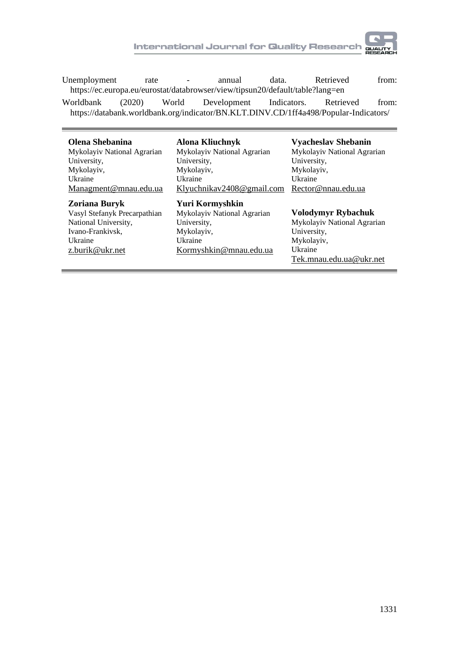Unemployment rate - annual data. Retrieved from: https://ec.europa.eu/eurostat/databrowser/view/tipsun20/default/table?lang=en

Worldbank (2020) World Development Indicators. Retrieved from: https://databank.worldbank.org/indicator/BN.KLT.DINV.CD/1ff4a498/Popular-Indicators/

| Olena Shebanina              | Alona Kliuchnyk             | <b>Vyacheslav Shebanin</b>  |
|------------------------------|-----------------------------|-----------------------------|
| Mykolayiv National Agrarian  | Mykolayiv National Agrarian | Mykolayiv National Agrarian |
| University,                  | University,                 | University,                 |
| Mykolayiv,                   | Mykolayiv,                  | Mykolaviv,                  |
| Ukraine                      | Ukraine                     | Ukraine                     |
| Managment@mnau.edu.ua        | Klyuchnikav2408@gmail.com   | Rector@nnau.edu.ua          |
| Zoriana Buryk                | Yuri Kormyshkin             | Volodymyr Rybachuk          |
| Vasyl Stefanyk Precarpathian | Mykolayiv National Agrarian | Mykolayiv National Agrarian |
| National University,         | University,                 | University,                 |
| Ivano-Frankivsk.             | Mykolayiv,                  | Mykolayiv,                  |
| Ukraine                      | Ukraine                     | Ukraine                     |
| z.burik@ukr.net              | Kormyshkin@mnau.edu.ua      | Tek.mnau.edu.ua@ukr.net     |